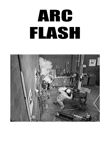# ARC FLASH

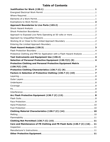# **Table of Contents**

| Protective Clothing and PPE for Application with a Flash Hazard Analysis 4 |  |
|----------------------------------------------------------------------------|--|
|                                                                            |  |
| Selection of Personal Protective Equipment (130.7(C) (9)  4                |  |
| <b>Protective Clothing and Personal Protective Equipment Matrix</b>        |  |
|                                                                            |  |
|                                                                            |  |
|                                                                            |  |
|                                                                            |  |
|                                                                            |  |
|                                                                            |  |
|                                                                            |  |
|                                                                            |  |
|                                                                            |  |
|                                                                            |  |
|                                                                            |  |
|                                                                            |  |
|                                                                            |  |
|                                                                            |  |
|                                                                            |  |
|                                                                            |  |
|                                                                            |  |
|                                                                            |  |
| Care and Maintenance of FR Clothing and FR Flash Suits (130.7 (C) (16) 11  |  |
|                                                                            |  |
|                                                                            |  |
|                                                                            |  |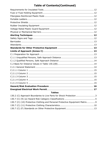# **Table of Contents (Continued)**

| <b>Tables:</b> |  |
|----------------|--|
|                |  |
|                |  |
|                |  |
|                |  |
|                |  |
|                |  |
|                |  |
|                |  |
|                |  |
|                |  |
|                |  |
|                |  |
|                |  |
|                |  |
|                |  |
|                |  |
|                |  |
|                |  |
|                |  |
|                |  |
|                |  |
|                |  |
|                |  |
|                |  |
|                |  |
|                |  |

| 130.2 (C) Approach Boundaries to Live Parts for Shock Protection 3           |  |
|------------------------------------------------------------------------------|--|
|                                                                              |  |
| 130.7 (C) (10) Protective Clothing and Personal Protective Equipment Matrix9 |  |
|                                                                              |  |
|                                                                              |  |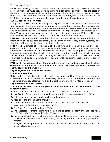# **Introduction**

Employees working in areas where there are potential electrical hazards must be provided with, and must use, electrical protective equipment appropriate for the parts of the body to be protected and the work performed. The following contains sections taken from NFPA 70E *"Standard for Electrical Safety in the Workplace".* The sections on Arc Flash have been compiled into one document in order to make reading easier.

# **130.1 Justification for Work**

Live parts to which an employee might be exposed must be put into an electrically safe work condition before an employee works on or near them, unless the employer can demonstrate that deenergizing introduces additional or increased hazards or is infeasible due to equipment design or operational limitations. Energized parts that operate at less than 50 volts to ground must not be not required to be deenergized if there will be no increased exposure to electrical burns or to explosion due to electric arcs.

**FPN No. 1:** Examples of increased or additional hazards include, but are not limited to, interruption of life support equipment, deactivation of emergency alarm systems, and shutdown of hazardous location ventilation equipment.

**FPN No. 2:** Examples of work that might be performed on or near exposed energized electrical conductors or circuit parts because of infeasibility due to equipment design or operational limitations include performing diagnostics and testing (e.g., start-up or troubleshooting) of electric circuits that can only be performed with the circuit energized and work on circuits that form an integral part of a continuous process that would otherwise need to be completely shut down in order to permit work on one circuit or piece of equipment.

**FPN No. 3:** For voltages of less than 50 volts, the decision to deenergize should include consideration of the capacity of the source and any overcurrent protection between the energy source and the worker.

# **(A) Energized Electrical Work Permit**

# **(1) Where Required.**

If live parts are not placed in an electrically safe work condition (i.e., for the reasons of increased or additional hazards or infeasibility per 130.1), work to be performed must be considered energized electrical work and must be performed by written permit only.

#### **(2) Elements of Work Permit.**

#### *The energized electrical work permit must include, but not be limited to, the following items:*

- **1.** A description of the circuit and equipment to be worked on and their location
- **2.** Justification for why the work must be performed in an energized condition (130.1)
- **3.** A description of the safe work practices to be employed
- **4.** Results of the shock hazard analysis
- **5.** Determination of shock protection boundaries [130.2(B) and Table 130.2(C)]
- **6.** Results of the flash hazard analysis (130.3)
- **7.** The Flash Protection Boundary [130.3(A)]
- **8.** The necessary personal protective equipment to safely perform the assigned task  $[130.3(B), 130.7(C)(9),$  and Table 130.7(C)(9)(a)]
- **9.** Means employed to restrict the access of unqualified persons from the work area Evidence of completion of a job briefing, including a discussion of any job-specific hazards
- **10.** Energized work approval (authorizing or responsible management, safety officer, or owner, etc.) signature(s)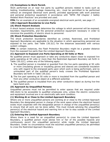#### **(3) Exemptions to Work Permit.**

Work performed on or near live parts by qualified persons related to tasks such as testing, troubleshooting, voltage measuring, etc., must be permitted to be performed without an energized electrical work permit, provided appropriate safe work practices and personal protective equipment in accordance with *"NFPA 70E Chapter 1 Safety Related Work Practices"* are provided and used.

**FPN:** For an example of an acceptable energized electrical work permit, see page 17.

# **130.2 Approach Boundaries to Live Parts**

# **(A) Shock Hazard Analysis**

A shock hazard analysis must determine the voltage to which personnel will be exposed, boundary requirements, and the personal protective equipment necessary in order to minimize the possibility of electric shock to personnel.

# **(B) Shock Protection Boundaries**

The shock protection boundaries identified as Limited, Restricted, and Prohibited Approach Boundaries are applicable to the situation in which approaching personnel are exposed to live parts. See Table 130.2(C) for the distances associated with various system voltages.

**FPN:** In certain instances, the Flash Protection Boundary might be a greater distance from the exposed live parts than the Limited Approach Boundary.

# **(C) Approach to Exposed Live Parts Operating at 50 Volts or More**

No qualified person must approach or take any conductive object closer to exposed live parts operating at 50 volts or more than the Restricted Approach Boundary set forth in Table 130.2(C), unless any of the following apply:

- **1.** The qualified person is insulated or guarded from the live parts operating at 50 volts or more (insulating gloves or insulating gloves and sleeves are considered insulation only with regard to the energized parts upon which work is being performed), and no uninsulated part of the qualified person's body crosses the Prohibited Approach Boundary set forth in Table 130.2(e).
- **2.** The live part operating at 50 volts or more is insulated from the qualified person and from any other conductive object at a different potential.
- **3.** The qualified person is insulated from any other conductive object as during live-line bare-hand work.

# **(D) Approach by Unqualified Persons**

Unqualified persons must not be permitted to enter spaces that are required under 400.16(A) to be accessible to qualified employees only, unless the electric conductors and equipment involved are in an electrically safe work condition.

# **(1) Working At or Close to the Limited Approach Boundary**

Where one or more unqualified persons are working at or close to the Limited Approach Boundary the designated person in charge of the work space where the electrical hazard exists must cooperate with the designated person in charge of the unqualified person(s) to ensure that all work can be done safely. This must include advising the unqualified person(s) of the electrical hazard and warning him or her to stay outside of the Limited Approach Boundary.

# **(2) Entering the Limited Approach Boundary**

Where there is a need for an unqualified person(s) to cross the Limited Approach Boundary, a qualified person must advise him or her of the possible hazards and continuously escort the unqualified person(s) while inside the Limited Approach Boundary. Under no circumstance must the escorted unqualified person(s) be permitted to cross the Restricted Approach Boundary.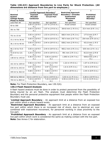| 1                     | $\overline{2}$                         | $\overline{3}$        |                                  | $\overline{5}$         |  |
|-----------------------|----------------------------------------|-----------------------|----------------------------------|------------------------|--|
|                       | Limited Approach Boundary <sup>1</sup> |                       | <b>Restricted Approach</b>       |                        |  |
| <b>Nominal</b>        | <b>Exposed</b>                         | <b>Exposed Fixed</b>  | Boundary <sup>1</sup> ; Includes | <b>Prohibited</b>      |  |
| <b>System</b>         | <b>Movable</b>                         | <b>Circuit Part</b>   | <b>Inadvertent</b>               | Approach               |  |
| <b>Voltage Range,</b> | <b>Conductor</b>                       |                       | <b>Movement</b>                  | Bounday <sup>1</sup>   |  |
| <b>Phase to Phase</b> |                                        |                       | <b>Adder</b>                     |                        |  |
| Less than 50          | Not specified                          | Not specified         | Not specified                    | Not specified          |  |
| 50 to 300             | 3.05 m (10 ft 0                        | 1.07 m $(3 ft 6 in.)$ | Avoid contact                    | Avoid contact          |  |
|                       | in.                                    |                       |                                  |                        |  |
| 301 to 750            | 3.05 m (10 ft 0                        | 1.07 m (3 ft 6 in.)   | 304.8 mm (1 ft 0 in.)            | 25.4 mm (0 ft 1 in.)   |  |
|                       | in.                                    |                       |                                  |                        |  |
|                       |                                        |                       |                                  |                        |  |
| 751 to 15 kV          | 3.05 m (10 ft 0                        | 1.53 m (5 ft 0 in.)   | 660.4 mm (2 ft 2 in.)            | 177.8 mm (0 ft 7       |  |
|                       | in.                                    |                       |                                  | in.)                   |  |
| 15.1 kV to 36 kV      | 3.05 m (10 ft 0                        | 1.83 m (6 ft 0 in.)   | 787.4 mm (2 ft 7 in.)            | $254$ mm (0 ft 10 in.) |  |
|                       | $\mathsf{in}$ .                        |                       |                                  |                        |  |
| 36.1 kV to 46 kV      | 3.05 m (10 ft 0                        | 2.44 m (8 ft 0 in.)   | 838.2 mm (2 ft 9 in.)            | 431.8 mm (1 ft 5       |  |
|                       | in.                                    |                       |                                  | in.                    |  |
|                       |                                        |                       |                                  |                        |  |
| 46.1 kV to 72.5       | 3.05 m (10 ft 0                        | 2.44 m (8 ft 0 in.)   | 965.2 mm (3 ft 2 in.)            | 635 mm (2 ft 1 in.)    |  |
| kV                    | in.                                    |                       |                                  |                        |  |
| 72.6 kV to 121        | 3.25 m (10 ft 8                        | 2.44 m (8 ft 0 in.)   | 991 mm (3 ft 3 in.)              | 812.8 mm (2 ft 8       |  |
| kV                    | in.                                    |                       |                                  | in.)                   |  |
| 138 kV to 145 kV      | 3.36 m (11 ft 0                        | 3.05 m (10 ft 0       | 1.093 m (3 ft 7 in.)             | 939.8 mm (3 ft 1       |  |
|                       | $\mathsf{in}$ .                        | in.                   |                                  | in.                    |  |
|                       |                                        |                       |                                  |                        |  |
| 161 kV to 169 kV      | 3.56 m (11 ft 8                        | 3.56 m (11 ft 8       | 1.22 m 4 ft 0 in.)               | 1.07 m (3 ft 6 in.)    |  |
|                       | in.                                    | in.                   |                                  |                        |  |
| 230 kV to 242 kV      | 3.97 m (13 ft 0                        | 3.97 m (13 ft 0       | 1.6 m (5 ft 3 in.)               | 1.45 m (4 ft 9 in.)    |  |
|                       | in.                                    | in.)                  |                                  |                        |  |
| 345 kV to 362 kV      | 4.68 m (15 ft 4                        | 4.68 m (15 ft 4       | 2.59 m (8 ft 6 in.)              | 2.44 m (8 ft 0 in.)    |  |
|                       | in.                                    | in.                   |                                  |                        |  |
|                       |                                        |                       |                                  |                        |  |
| 500 kV to 550 kV      | 5.8 m (19 ft 0 in.)                    | 5.8 m (19 ft 0 in.)   | 3.43 m (11 ft 3 in.)             | 3.28 m (10 ft 9 in.)   |  |
| 765 kV to 800 kV      | 7.24 m (23 ft 9                        | 7.24 m (23 ft 9       | 4.55 m (14 ft 11 in.)            | 4.4 m (14 ft 5 in.)    |  |

**Table 130.2(C) Approach Boundaries to Live Parts for Shock Protection. (All dimensions are distance from live part to employee.)**

**Note:** For Flash Protection Boundary, see 130.3(A).

in.)

#### **130.3 Flash Hazard Analysis**

A flash hazard analysis must be done in order to protect personnel from the possibility of being injured by an arc flash. The analysis must determine the Flash Protection Boundary and the personal protective equipment that people within the Flash Protection Boundary must use.

in.)

<sup>1</sup>**Limited Approach Boundary** – An approach limit at a distance from an exposed live part within which a shock hazard exists.

<sup>1</sup>**Restricted Approach Boundary** - An approach limit at a distance from an exposed live part within which there is an increased risk of shock, due to electrical arc over combined with inadvertent movement, for personnel working in close proximity to the live part.

<sup>1</sup>**Prohibited Approach Boundary** - An approach limit at a distance from an exposed live part within which work is considered the same as making contact with the live part. **Note:** See Annex C for elaboration.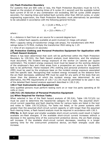#### **(A) Flash Protection Boundary**

For systems that are 600 volts or less, the Flash Protection Boundary must be 4.0 ft, based on the product of clearing times of 6 cycles (0.1 second) and the available bolted fault current of 50 kA or any combination not exceeding 300 kA cycles (5000 ampere seconds). For clearing times and bolted fault currents other than 300 kA cycles, or under engineering supervision, the Flash Protection Boundary must alternatively be permitted to be calculated in accordance with the following general formula:

$$
D_c = [2,65 \times MVA_{bf} \times t]^{1/2}
$$
  
or  

$$
D_c = [53 \times MVA \times t]^{1/2}
$$

where :

 $D_c$  = distance in feet from an arc source for a second-degree burn *MVA<sub>bf</sub>* = bolted fault capacity available at point involved (in mega volt-amps) *MVA* = capacity rating of transformer (mega volt-amps). For transformers with *MVA* ratings below 0.75 MVA, multiply the transformer *MVA* rating by 1.25

 $t =$  time of arc exposure (in seconds)

#### **(B) Protective Clothing and Personal Protective Equipment for Application with a Flash Hazard Analysis**

Where it has been determined that work will be performed within the Flash Protection Boundary by 130.3(A), the flash hazard analysis must determine, and the employer must document, the incident energy exposure of the worker (in calories per square centimeter). The incident energy exposure level must be based on the working distance of the employee's face and chest areas from a prospective arc source for the specific task to be performed. Flame-resistant (FR) clothing and personal protective equipment (PPE) must be used by the employee base on the incident energy exposure associated with the specific task. Recognizing that incident energy increases as the distance form the arc flash decreases, additional PPE must be used for any parts of the body that are closer than the distance at which the incident energy was determined. As and alternative, the PPE requirements of 130.7 (C) (9) must be permitted to be used in lieu of the detailed flash hazard analysis approach described in 130.3 (A).

#### **130.4 Test Instruments and Equipment Use**

Only qualified persons must perform testing work on or near live parts operating at 50 volts or more.

#### **130.7(C) (9) Selection of Personal Protective Equipment**

#### **(a) When Required for Various Tasks.**

When selected in lieu of the flash hazard analysis of l30.3(A), Table 130.7(C)(9) (a) must be used to determine the hazard/risk category for a task. The assumed shortcircuit current capacities and fault clearing times for various tasks are listed in the text and notes to Table 130.7(C)(9)(a). For tasks not listed, or for power systems with greater than the assumed short-circuit current capacity or with longer than the assumed fault clearing times, a flash hazard analysis must be required in accordance with 130.3.

**FPN No. 1:** Both larger and smaller available short-circuit currents could result in higher available arc-flash energies. If the available short-circuit current increases without a decrease in the opening time of the overcurrent protective device, the arc-flash energy will increase. If the available short-circuit current decreases, resulting in a longer opening time for the overcurrent protective device, arc-flash energies could also increase.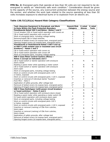**FPN No. 2:** Energized parts that operate at less than 50 volts are not required to be deenergized to satisfy an "electrically safe work condition." Consideration should be given to the capacity of the source, any overcurrent protection between the energy source and the worker, and whether the work task related to the source operating at less than 50 volts increases exposure to electrical bums or to explosion from an electric arc.

#### **Table 130.7(C)(9)(a) Hazard Risk Category Classifications**

| Task (Assumes Equipment Is Energized, and Work                                                 | Hazard/Risk    | V-rated       | V-rated      |
|------------------------------------------------------------------------------------------------|----------------|---------------|--------------|
| Is Done Within the Flash Protection Boundary                                                   | Category       | <b>Gloves</b> | <b>Tools</b> |
| Panelboards Rated 240 V and Below -Notes 1 and 3                                               |                |               |              |
| Circuit breaker (CB) or fused switch operation with covers on                                  | 0              | N             | N            |
| CB or fused switch operation with covers off                                                   | 0              | N             | N            |
| Work on energized parts, including voltage testing                                             | 1              | Y             | Y            |
| Remove/install CBs or fused switches                                                           | 1              | Y             | Y            |
| Removal of bolted covers (to expose bare, energized parts)                                     | 1              | N             | N            |
| Opening hinged covers (to expose bare, energized parts)                                        | 0              | N             | N            |
| Panelboards or Switchboards Rated >240 V and up                                                |                |               |              |
| to 600 V (with molded case or insulated case circuit                                           |                |               |              |
| breakers) - Notes 1 and 3                                                                      |                |               |              |
| CB or fused switch operation with covers on                                                    | 0              | N             | N            |
| CB or fused switch operation with covers off                                                   | $\mathbf{1}$   | N             | N            |
| Work on energized parts, including voltage testing                                             | $2*$           | Y             | Y            |
| 600 V Class Motor Control Centers (MCCs) -                                                     |                |               |              |
| Notes 2 (except as indicated) and 3                                                            |                |               |              |
| CB or fused switch or starter operation with enclosure                                         | 0              | N             | N            |
| doors closed                                                                                   |                |               |              |
| Reading a panel meter while operating a meter switch                                           | 0              | N             | N            |
| CB or fused switch or starter operation with enclosure                                         | $\mathbf{1}$   | N             | N            |
| doors open                                                                                     |                |               |              |
| Work on energized parts, including voltage testing                                             | 2*             | Y             | Υ            |
| Work on control circuits with energized parts 120 V                                            | 0              | Y             | Y            |
| or below, exposed                                                                              |                |               |              |
| Work on control circuits with energized parts >120 V, exposed                                  | $2*$           | Y             | Υ            |
| Insertion or removal of individual starter "buckets"                                           | 3              | Y             | N            |
| from MCC - Note 4                                                                              |                |               |              |
| Application of safety grounds, after voltage test                                              | 2*             | Υ             | N            |
| Removal of bolted covers (to expose bare, energized parts)                                     | 2*             | N             | Ν            |
| Opening of hinged covers (to expose bare, energized parts)                                     | $\mathbf{1}$   | N             | N            |
| 600 V Class Switchgear (with power circuit breakers                                            | $\Omega$       | N             | N            |
| or fused switches) - Notes 5 and 6<br>CB or fused switch operation with enclosure doors closed | 0              | N             | N            |
| Reading a panel meter while operating a meter switch CB                                        |                |               |              |
| Or fused switch operation with enclosure doors open                                            | $\mathbf{1}$   | N             | N            |
| Work on energized parts, including voltage testing                                             | $2*$           | Y             | Y            |
| Work on control circuits with energized parts 120 V                                            |                |               |              |
| or below, exposed                                                                              | 0              | Y             | Υ            |
| Work on control circuits with energized parts >120 V, exposed                                  | $2*$           | Y             | Y            |
| Insertion or removal (racking) of CBs from cubicles,                                           |                |               |              |
| doors open                                                                                     | 3              | N             | N            |
| Insertion or removal (racking) of CBs from cubicles,                                           |                |               |              |
| doors closed                                                                                   | 2              | N             | N            |
| Application of safety grounds, after voltage test                                              | 2*             | Y             | N            |
| Removal of bolted covers (to expose bare, energized parts)                                     | 3              | N             | N            |
| Opening hinged covers (to expose bare, energized parts)                                        | $\overline{2}$ | N             | Ν            |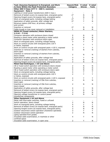| Task (Assumes Equipment Is Energized, and Work<br>Is Done Within the Flash Protection Boundary | Hazard/Risk<br>Category | V-rated<br><b>Gloves</b> | V-rated<br><b>Tools</b> |
|------------------------------------------------------------------------------------------------|-------------------------|--------------------------|-------------------------|
| Other 600 V Class (277 V - 600 V, nominal)                                                     |                         |                          |                         |
| <b>Equipment - Note 3</b>                                                                      |                         |                          |                         |
| Lighting or small power transformers (600 V max.)                                              |                         |                          |                         |
| Removal of bolted covers (to expose bare, energized parts)                                     | $2*$                    | N                        | N                       |
| Opening hinged covers (to expose bare, energized parts)                                        | $\mathbf{1}$            | N                        | N                       |
| Work on energized parts, including voltage testing                                             | $2*$                    | Y                        | Y                       |
| Application of safety grounds, after voltage test                                              | $2*$                    | Y                        | N                       |
| Revenue meters (kW-hour, at primary voltage                                                    |                         |                          |                         |
| and current                                                                                    |                         |                          |                         |
| Insertion or removal                                                                           | $2*$                    | N                        | N                       |
| Cable trough or tray cover removal or installation                                             | $\mathbf{1}$            | N                        | N                       |
| <b>NEMA E2 (fused contactor) Motor Starters,</b>                                               |                         |                          |                         |
| $2.3$ kV - 7.2 kV                                                                              |                         |                          |                         |
| Contactor operation with enclosure doors closed                                                | 0                       | N                        | N                       |
| Reading a panel meter while operating a meter switch                                           | 0                       | N                        | N                       |
| Contactor operation with enclosure doors open                                                  | $2*$                    | N                        | N                       |
| Work on energized parts, including voltage testing                                             | 3                       | Y                        | Y                       |
| Work on control circuits with energized parts 120 V                                            |                         |                          |                         |
| or below, exposed                                                                              | 0                       | Y                        | Y                       |
| Work on control circuits with energized parts >120 V, exposed                                  | 3                       | Υ                        | Υ                       |
| Insertion or removal (racking) of starters from cubicles,                                      | 3                       | N                        | N                       |
| doors open                                                                                     |                         |                          |                         |
| Insertion or removal (racking) of starters from cubicles,                                      |                         |                          |                         |
| doors closed                                                                                   | $\overline{2}$          | N                        | N                       |
| Application of safety grounds, after voltage test                                              | 3                       | Υ                        | N                       |
| Removal of bolted covers (to expose bare, energized parts)                                     | $\overline{4}$          | N                        | N                       |
| Opening hinged covers (to expose bare, energized parts)                                        | 3                       | ${\sf N}$                | N                       |
| Metal Clad Switchgear, 1 kV and Above                                                          |                         |                          |                         |
| CB or fused switch operation with enclosure doors closed                                       | $\overline{2}$          | N                        | N                       |
| Reading a panel meter while operating a meter switch                                           | $\pmb{0}$               | N                        | N                       |
| CB or fused switch operation with enclosure doors open                                         | $\overline{4}$          | N                        | N                       |
| Work on energized parts, including voltage testing                                             | 4                       | Υ                        | Y                       |
| Work on control circuits with energized parts 120 V                                            | $\overline{2}$          | Y                        | Y                       |
| or below, exposed                                                                              |                         |                          |                         |
| Work on control circuits with energized parts >120 V, exposed                                  | 4                       | Y                        | Y                       |
| Insertion or removal (racking) of CBs from cubicles,                                           | 4                       | N                        | N                       |
| doors open                                                                                     |                         |                          |                         |
| Insertion or removal (racking) of CBs from cubicles,                                           | 2                       | N                        | N                       |
| doors closed                                                                                   |                         |                          |                         |
| Application of safety grounds, after voltage test                                              | 4                       | Y                        | N                       |
| Removal of bolted covers (to expose bare, energized parts)                                     | 4                       | N                        | N                       |
| Opening hinged covers (to expose bare, energized parts)                                        | 3                       | N                        | N                       |
| Opening voltage transformer or control power                                                   | 4                       | N                        | N                       |
| transformer components                                                                         |                         |                          |                         |
| Other Equipment 1 kV and Above                                                                 |                         |                          |                         |
| Metal clad interrupter switches, fused or unfused                                              |                         |                          |                         |
| Switch operation, doors closed                                                                 | $\overline{2}$          | N                        | N                       |
| Work on energized parts, including voltage testing                                             | 4                       | Y                        | Y                       |
| Removal of bolted covers (to expose bare, energized parts)                                     | 4                       | N                        | N                       |
| Opening hinged covers (to expose bare, energized parts)                                        | 3                       | N                        | N                       |
| Outdoor disconnect switch operation (hookstick operated)                                       | 3                       | Y                        | Y                       |
| Outdoor disconnect switch operation                                                            | $\overline{2}$          | N                        | N                       |
| (gang operated from grade)                                                                     |                         |                          |                         |
| Insulated cable examination, in manhole or other                                               | $\overline{4}$          | Υ                        | N                       |
| confined space                                                                                 |                         |                          |                         |
| Insulated cable examination, in open area                                                      | $\overline{2}$          | Y                        | N                       |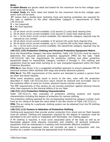#### **Note:**

*V-rated Gloves* are gloves rated and tested for the maximum line-to-line voltage upon which work will be done.

*V-rated Tools* are tools rated and tested for the maximum line-to-line voltage upon which work will be done.

**2\*** means that a double-layer switching hood and hearing protection are required for this task in addition to the other Hazard/Risk Category 2 requirements of Table 130.7(C)(10).

**Y** = Yes (required)

 $N = No$  (not required)

#### **Notes:**

- **1.** 25 kA short circuit current available, 0.03 second (2 cycle) fault clearing time.
- **2.** 65 kA short circuit current available, 0.03 second (2 cycle) fault clearing time.
- **3.** For < 10 kA short circuit current available, the hazard/risk category required may be reduced by one number.
- **4.** 65 kA short circuit current available, 0.33 second (20 cycle) fault clearing time.
- **5.** 65 kA short circuit current available, up to 1.0 second (60 cycle) fault clearing time.
- **6.** For < 25 kA short circuit current available, the hazard/risk category required may be reduced by one number.

#### **130.7(C) (10) Protective Clothing and Personal Protective Equipment Matrix**

Once the Hazard/Risk Category has been identified, Table 130.7(C)(1O) must be used to determine the required personal protective equipment (PPE) for the task. Table 130.7(C)(1O) lists the requirements for protective clothing and other protective equipment based on Hazard/Risk Category numbers 0 through 4. This clothing and equipment must be used when working on or near energized equipment within the Flash Protection Boundary.

**FPN No.1:** See Annex H for a suggested simplified approach to ensure adequate PPE for electrical workers within facilities with large and diverse electrical systems.

**FPN No.2:** The PPE requirements of this section are intended to protect a person from arc-flash and shock hazards.

While some situations could result in burns to the skin, even with the protection described in Table 130.7(C)(10),burn injury should be reduced and survivable. Due to the explosive effect of some arc events, physical trauma injuries could occur.

The PPE requirements of this section do not provide protection against physical trauma other than exposure to the thermal effects of an arc flash.

#### **130.7(C) (11) Protective Clothing Characteristics**

Table 130.7(C)(11) lists examples of protective clothing systems and typical characteristics including the degree of protection for various clothing.

The protective clothing selected for the corresponding hazard/risk category number must have an arc rating of at least the value listed in the last column of Table 130.7(C)(11).

**FPN:** The arc rating for a particular clothing system can be obtained from the FR clothing manufacturer.

#### **130.7(C) (12) Factors in Selection of Protective Clothing**

Clothing and equipment that provide worker protection from shock and arc flash hazards must be utilized. Clothing and equipment required for the degree of exposure must be permitted to be worn alone or integrated with flammable, non-melting apparel.

If FR clothing is required, it must cover associated parts of the body as well as all flammable apparel while allowing movement and visibility. All personal protective equipment must be maintained in a sanitary and functionally effective condition.

Personal protective equipment items will normally be used in conjunction with one another as a system to provide the appropriate level of protection.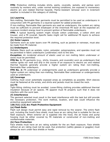**FPN:** Protective clothing includes shirts, pants, coveralls, jackets, and parkas worn routinely by workers who, under normal working conditions, are exposed to momentary electric arc and related thermal hazards. Flame-resistant rainwear worn in inclement weather is included in this category of clothing.

# **(a) Layering**

Non-melting, flammable fiber garments must be permitted to be used as underlayers in conjunction with FR garments in a layered system for added protection.

If non-melting, flammable fiber garments are used as underlayers, the system arc rating must be sufficient to prevent breakopen of the innermost FR layer at the expected arc exposure incident energy level to prevent ignition of flammable underlayers.

**FPN:** A typical layering system might include cotton underwear, a cotton shirt and trouser, and a FR coverall. Specific tasks might call for additional FR layers to achieve the required protection level.

#### **(b) Outer Layers**

Garments worn as outer layers over FR clothing, such as jackets or rainwear, must also be made from FR material.

#### **(c) Underlayers**

Meltable fibers such as acetate, nylon, polyester, polypropylene, and spandex must not be permitted in fabric underlayers (underwear) next to the skin.

*Exception: An incidental amount of elastic used on non melting fabric underwear or socks must be permitted.*

**FPN No. 1:** FR garments (e.g., shirts, trousers, and coveralls) worn as underlayers that neither ignite nor melt and drip in the course of an exposure to electric arc and related thermal hazards generally provide a higher system arc rating than non-melting, flammable fiber underlayers.

**FPN No. 2:** FR underwear or undergarments used as underlayers generally provide a higher system arc rating than non-melting, flammable fiber underwear or undergarments used as underlayers.

#### **(d) Coverage**

Clothing must cover potentially exposed areas as completely as possible. Shirt sleeves must be fastened at the wrists, and shirts and jackets must be closed the neck.

#### **(e) Fit**

Tight-fitting clothing must be avoided. Loose-fitting clothing provides additional thermal insulation because of air spaces. FR apparel must fit properly such that it does not interfere with the work task.

#### **(f) Interference**

The garment selected must result in the least interference with the task but still provide the necessary protection. The work method, location, and task could influence the protective equipment selected.

#### **130.7(C) (13) Arc Flash Protective Equipment**

#### **(a) Flash Suits**

Flash suit design must permit easy and rapid removal by the wearer. The entire flash suit, including the hood's face shield, must have an arc rating that is suitable for the arc flash exposure. When exterior air is supplied into the hood, the air hoses and pump housing must be either covered by FR materials or constructed of non-melting and nonflammable materials.

#### **(b) Face Protection**

Face shields must have an arc rating suitable for the arc flash exposure. Face shields without an arc rating must not be used. Eye protection (safety glasses or goggles) must always be worn under face shields or hoods.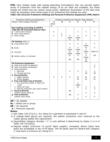**FPN:** Face shields made with energy-absorbing formulations that can provide higher levels of protection from the radiant energy of an arc flash are available, but these shields are tinted and can reduce visual acuity. Additional illumination of the task area might be necessary when these types of arc protective face shields are used.

#### **Table 130.7(C)(10) Protective Clothing and Personal Protective Equipment (PPE) Matrix**

| Protective Clothing and Equipment                                                                                                                                    | Protective Systems for Hazard / Risk Category |        |                           |                           |                        |                       |
|----------------------------------------------------------------------------------------------------------------------------------------------------------------------|-----------------------------------------------|--------|---------------------------|---------------------------|------------------------|-----------------------|
| Hazard / Risk Category Number                                                                                                                                        | $-1$<br>(Note<br>3)                           | U      | 1.                        | 2                         | 3                      | 4                     |
| Non-melting (according to ASTM F<br>1506-00) OR Untreated Natural Fiber<br>a. T-shirt (short sleeve)<br><b>b.</b> Shirt (long-sleeve)<br>c. Pants (long)             | X<br>X                                        | X<br>X | X<br>(Note                | X.<br>X<br>(Note          | X<br>X                 | X.<br>X               |
| FR Clothing (Note 1)                                                                                                                                                 |                                               |        | 4)                        | 6)                        |                        |                       |
| a. Long-sleeve shirt                                                                                                                                                 |                                               |        | X                         | X                         | X<br>(Note             | X                     |
| <b>b.</b> Pants<br>c. Coverall                                                                                                                                       |                                               |        | X<br>(Note<br>4)<br>(Note | X<br>(Note<br>6)<br>(Note | 9)<br>X<br>(Note<br>9) | X<br>(Note 5)         |
| <b>d.</b> Jacket, parka, or rainwear                                                                                                                                 |                                               |        | 5)<br>AN                  | 7)<br>AN                  | X<br>(Note<br>9)<br>AN | AN                    |
| <b>FR Protective Equipment</b><br>a. Flash suit jacket (multilayer)<br><b>b.</b> Flash suit pants (multilayer)<br>c. Head protection<br>1. Hard hat                  |                                               |        | X                         | X                         | X                      | X<br>X<br>$\times$    |
| 2. FR hard hat liner<br>d. Eye protection<br>1. Safety glasses<br>2. Safety goggles<br>e. Face and Head area protection<br>1. Arc-rated face shield, or flash suit   | X                                             | X      | $\pmb{\times}$            | AL<br>AI<br>X             | <b>AR</b><br>AL<br>AL  | <b>AR</b><br>AL<br>AL |
| hood<br>2. Flash suit hood<br>3. Hearing protection (ear canal inserts)<br>f. Hand protection<br>Leather gloves (Note 2)<br>g. Foot protection<br>Leather work shoes |                                               |        | AN<br>AN                  | (Note<br>8)<br>X          | X<br>X<br>X<br>X       | X<br>X<br>X<br>X      |
|                                                                                                                                                                      |                                               |        |                           | X                         |                        |                       |

 $AN = As needed$ 

- **AL** = Select one in group
- **AR** = As required
- **X** = Minimum required

#### **Notes:**

- **1.** See Table  $130.7(C)(11)$ . Arc rating for a garment is expressed in cal/cm<sup>2</sup>.
- **2.** If voltage-rated gloves are required, the leather protectors worn external to the rubber gloves satisfy this requirement.
- **3.** Hazard/Risk Category Number "-1" is only defined if determined by Notes 3 or 6 of Table 130.7(C)(9)(a).
- 4. Regular weight (minimum 12 oz/yd<sup>2</sup> fabric weight), untreated, denim cotton blue jeans are acceptable in lieu of FR pants. The FR pants used for Hazard Risk Category 1 must have a minimum arc rating of 4.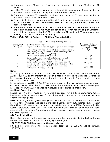- **5.** Alternate is to use FR coveralls (minimum arc rating of 4) instead of FR shirt and FR pants.
- **6.** If the FR pants have a minimum arc rating of 8, long pants of non-melting or untreated natural fiber are not required beneath the FR pants.
- **7.** Alternate is to use FR coveralls (minimum arc rating of 4) over non-melting or untreated natural fiber pants and T-shirt.
- **8.** A faceshield with a minimum arc rating of 8, with wrap-around guarding to protect not only the face, but also the forehead, ears, and neck (or, alternatively, a flash suit hood), is required.
- **9.** Alternate is to use two sets of FR coveralls (the inner with a minimum arc rating of 4 and outer coverall with a minimum arc rating of 5) over non-melting or untreated natural fiber clothing, instead of FR coveralls over FR shirt and FR pants over nonmelting or untreated natural fiber clothing.

#### **Table 130.7(C)(11) Protective Clothing Characteristics**

| <b>Typical Protective Clothing Systems</b> |                                                                                                                                                                            |                                                                           |  |  |
|--------------------------------------------|----------------------------------------------------------------------------------------------------------------------------------------------------------------------------|---------------------------------------------------------------------------|--|--|
| Hazard/Risk<br>Category                    | <b>Clothing Description</b><br>(Typical number of clothing layers is given in parentheses)                                                                                 | <b>Required Minimum</b><br><b>Are Rating of PPE</b><br>$[J/cm2(cal/cm2)]$ |  |  |
| 0                                          | Non-melting, flammable materials (i.e., untreated cotton,<br>wool, rayon, or silk, or blends of these materials) with<br>fabric weight at least 4.5 oz/yd <sup>2</sup> (1) | N/A                                                                       |  |  |
|                                            | FR shire and FR pants or FR coverall (1)                                                                                                                                   | 16.74(4)                                                                  |  |  |
| 2                                          | Cotton underwear - conventional short sleeve and<br>brief/shorts, plus FR shirt and pants (1 or 2)                                                                         | 33.47 (8)                                                                 |  |  |
| 3                                          | Cotton underwear plus FR shirt and FR pants plus FR<br>coverall, or cotton underwear plus two FR coveralls (2 or 3)                                                        | 104.6 (25)                                                                |  |  |
| 4                                          | Cotton underwear plus FR shirt and FR pants plus<br>multilayer flash suit (3 or more)                                                                                      | 167.36 (40)                                                               |  |  |

#### **Note:**

Arc rating is defined in Article 100 and can be either ATPV or  $E_{BT}$ . ATPV is defined in ASTM F 1959-99 as the incident energy on a fabric or material that results in sufficient heat transfer through the fabric or material to cause the onset of a second-degree burn based on the Stoll curve.

 $E_{BT}$  is defined in ASTM F 1959-99 as the average of the five highest incident energy exposure values below the Stoll curve where the specimens do not exhibit breakopen.  $E_{BT}$  is reported when ATPV cannot be measured due to FR fabric breakopen.

#### **(c) Hand Protection**

Leather or FR gloves must be worn where required for arc flash protection. Where insulating rubber gloves are used for shock protection, leather protectors must be worn over the rubber gloves.

**FPN:** Insulating rubber gloves and gloves made from layers of flame-resistant material provide hand protection against the arc flash hazard. Heavy-duty leather (e.g., greater than 12 oz/yd<sup>2</sup>) gloves provide protection suitable up to Hazard/Risk Category 2. The leather protectors worn over insulating rubber gloves provide additional arc flash protection for the hands. During high arc flash exposures leather can shrink and cause a decrease in protection.

#### **(d) Foot Protection**

Heavy-duty leather work shoes provide some arc flash protection to the feet and must be used in all tasks in Hazard\Risk Category 2 and higher.

#### **130.7(C) (14) Clothing Material Characteristics**

FR clothing must meet the requirements described in  $130.7(C)(14)(a)$  through 130.7(C)(15).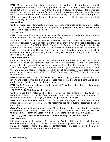**FPN:** FR materials, such as flame-retardant treated cotton, meta-aramid, para-aramid, and poly-benzimidazole (PBI) fibers, provide thermal protection. These materials can ignite but will not continue to bum after the ignition source is removed. FR fabrics can reduce bum injuries during an arc flash exposure by providing a thermal barrier between the arc flash and the wearer. In aramid and PBI blends, para-aramid adds strength to a fabric to prevent the fabric from breaking open due to the blast shock wave and high thermal energy of the arc.

#### **(a) Melting**

Clothing made from flammable synthetic materials that melt at temperatures below 315°C (600°F), such as acetate, nylon, polyester, polypropylene, and spandex, either alone or in blends, must not be used.

#### 2004 Edition

**FPN:** These materials melt as a result of arc flash exposure conditions, form intimate contact with the skin, and aggravate the bum injury.

*Exception:* Fiber blends that contain materials that melt, such as acetate, nylon, polyester, polypropylene, and spandex:, must be permitted if such blends in fabrics meet the requirements of ASTM F 1506, Standard Performance Specification for Textile Material for Wearing Apparel for Use by Electrical Workers Exposed to Momentary Electric Arc and Related Thermal Hazards, and if such blends in fabrics do not exhibit evidence of a melting and sticking hazard during arc testing according to ASTM F 1959 [see also  $130.7(C)(15)$ ].

# **(b) Flammability**

Clothing made from non-melting flammable natural materials, such as cotton, wool, rayon, silk, must be permitted for Hazard/Risk Categories 0 and -1 considered acceptable if it is determined by flash hazard analysis that the exposure level is 8.36 J/cm<sup>2</sup> (2.0 cal/cm<sup>2</sup> or less, and that the fabric will not ignite and continue to burn under the arc exposure hazard conditions to which it will be exposed (using data from tests done in accordance with ASTM F 1958.) See also 130.7(C)(12)(a) for layering requirements.

**FPN No.1:** Non-FR cotton, polyester-cotton blends, nylon, nylon-cotton blends, silk, rayon, and wool fabrics are flammable. These fabrics could ignite and continue to burn on the body, resulting in serious burn injuries.

**FPN No.2:** Rayon is a cellulose-based (wood pulp) synthetic fiber that is a flammable but non-melting material.

#### **130.7(C) (15) Clothing Not Permitted**

Clothing made from materials that do not meet the requirements of  $130.7(C)(14)(a)$ regarding melting, or made from materials that do not meet the flammability requirements of  $130.7(C)(14)(b)$ , must not be permitted to be worn.

**FPN:** Some flame-resistant fabrics, such as non-FR modacrylic and nondurable flameretardant treatments of cotton, are not recommended for industrial electrical or utility applications.

**Exception:** Non-melting, flammable (non-FR) materials must be permitted to be used as underlayers to FR clothing, as described in 130.7(C)(14)(a) and also must be permitted to be used for Hazard/Risk Category 0 and -1 as described in Table 130.7(C)(10).

# **130.7(C) (16) Care and Maintenance of FR Clothing and FR Flash Suits**

# **(a) Inspection**

FR apparel must be inspected before each use. Work clothing or flash suits that are contaminated, or damaged to the extent their protective qualities are impaired, must not be used. Protective items that become contaminated with grease, oil, or flammable liquids or combustible materials must not be used.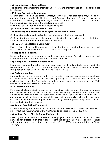# **(b) Manufacturer's Instructions**

The garment manufacturer's instructions for care and maintenance of FR apparel must be followed.

#### **(D) Other Protective Equipment**

(1) Insulated Tools and Equipment. Employees must use insulated tools and/or handling equipment when working inside the Limited Approach Boundary of exposed live parts where tools or handling equipment might make accidental contact. Insulated tools must be protected from damage to the insulating material.

**FPN:** See 130.2(B) for working on exposed live parts.

# **(a) Requirements for Insulated Tools**

#### *The following requirements must apply to insulated tools:*

(1) Insulated tools must be rated for the voltages on which they are used.

(2) Insulated tools must be designed and constructed for the environment to which they are exposed and the manner in which they are used.

# **(b) Fuse or Fuse Holding Equipment**

Fuse or fuse holder handling equipment, insulated for the circuit voltage, must be used to remove or install a fuse if the fuse terminals are energized.

#### **(c) Ropes and Handlines**

Ropes and handlines used near exposed live parts operating at 50 volts or more, or used where an electrical hazard exists, must be nonconductive.

#### **(d) Fiberglass-Reinforced Plastic Rods**

Fiberglass reinforced plastic rod and tube used for live line tools must meet the requirements of ASTM F 711, Standard Specification for Fiberglass-Reinforced Plastic (FRP) Rod and Tube Used; in Live Line Tools, 1989 (R 1997).

#### **(e) Portable Ladders**

Portable ladders must have nonconductive side rails if they are used where the employee or ladder could contact exposed live parts operating at 50 volts or more or where an electrical hazard exists. Nonconductive ladders must meet the requirements of ANSI standards for ladders listed in Table 130.7(F).

#### **(f) Protective Shields**

Protective shields, protective barriers, or insulating materials must be used to protect each employee from shock, burns, or other electrically related injuries while that employee is working near live parts that might be accidentally contacted or where dangerous electric heating or arcing might occur. When normally enclosed live parts are exposed for maintenance or repair, they must be guarded to protect unqualified persons from contact with the live parts.

#### **(g) Rubber Insulating Equipment**

Rubber insulating equipment used for protection from accidental contact with live parts must meet the requirements of the ASTM standards listed in Table 130.7(F).

#### **(h) Voltage Rated Plastic Guard Equipment**

Plastic guard equipment for protection of employees from accidental contact with live parts, or for protection of employees or energized equipment or material from contact with ground, must meet the requirements of the ASTM standards listed in Table 130.7(F).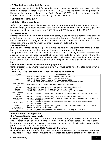# **(i) Physical or Mechanical Barriers**

Physical or mechanical (field fabricated) barriers must be installed no closer than the restricted approach distance given in Table 130.2(C). While the barrier is being installed, the restrictive approach distance specified in Table 130.2(C) must be maintained, or the live parts must be placed in an electrically safe work condition.

# **(E) Alerting Techniques**

# **(1) Safety Signs and Tags**

Safety signs, safety symbols, or accident prevention tags must be used where necessary to warn employees about electrical hazards that might endanger them. Such signs and tags must meet the requirements of ANSI Standard Z535 given in Table 130.7(F).

# **(2) Barricades**

Barricades must be used in conjunction with safety signs where it is necessary to prevent or limit employee access to work areas containing live parts. Conductive barricades must not be used where it might cause an electrical hazard. Barricades must be placed no closer than the Limited Approach Boundary given in Table 130.2(C).

#### **(3) Attendants**

If signs and barricades do not provide sufficient warning and protection from electrical hazards, an attendant must be stationed to warn and protect employees.

The primary duty and responsibility of an attendant providing manual signaling and alerting must be to keep unqualified employees outside a work area where the unqualified employee might be exposed to electrical hazards. An attendant must remain in the area as long as there is a potential for employees to be exposed to the electrical hazards.

#### **(F) Standards for Other Protective Equipment**

Other protective equipment required in 130.7(D) must conform to the standards given in Table 130.7(F).

#### **Table 130.7(F) Standards on Other Protective Equipment**

| <b>Subject</b>           | <b>Number and Title</b>                                                                          |
|--------------------------|--------------------------------------------------------------------------------------------------|
|                          | ANSI AI4.1, Safety Requirements for Portable Wood Ladders, 1994                                  |
| Ladders                  | ANSI AI4.3, Safety Requirements for Fixed Ladders, 2002                                          |
|                          | ANSI AI4.4, Safety Requirements for Job-Made Ladders, 1992                                       |
|                          | ANSI A14.5, Safety Requirement for Portable Reinforced Plastic Ladders, 2000                     |
| Safety signs and<br>tags | ANSI Z535, Series of Standards for Safety Signs and Tags, 1998                                   |
| <b>Blankets</b>          | ASTM D 1048, Standard Specification for Rubber Insulating Blankets, 1999                         |
| Covers                   | ASTM D 1049, Standard Specification for Rubber Covers, 1998                                      |
| Line hoses               | ASTM D 1050, Standard Specification for Rubber Insulating Line Hoses, 1990                       |
| Line hoses and           | ASTM F 478, Standard Specification for In-Service Care of Insulating Line Hose and Covers, 1999  |
| covers                   |                                                                                                  |
| <b>Blankets</b>          | ASTM F 479, Standard Specification for In-Service Care of Insulating Blankets, 1995              |
| Fiberglass tools/        | ASTM F 711, Standard Specification for Fiberglass-Reinforced Plastic (FRP) Rod and Tube Used; in |
| ladders                  | Line Tools, 1989 (R 1997)                                                                        |
| Plastic guards           | ASTM F 712, Standard Test Methods for Electrically Insulating Plastic Guard Equipment for        |
|                          | Protection of Workers, 1995                                                                      |
| Temporary                | ASTM F 855, Standard Specification for Temporary Protective Grounds to Be Used on De-energized   |
| grounding                | Electric Power Lines and Equipment, 1997                                                         |
| Insulated hand           | ASTM F 1505, Standard Specification for Insulated and Insulating Hand Tools, 2001                |
| tools                    |                                                                                                  |

#### **Annex C Limits of Approach C.1 Preparation for Approach**

Observing a safe approach distance from exposed energized electrical conductors or circuit parts is an effective means of maintaining electrical safety. As the distance between a person and the exposed energized conductors or circuit parts decreases, the potential for electrical accident increases.

#### **C.1.1 Unqualified Persons, Safe Approach Distance**

Unqualified persons are safe when they maintain a distance from the exposed energized conductors or circuit parts, including the longest conductive object being handled, so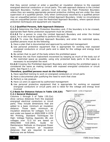that they cannot contact or enter a specified air insulation distance to the exposed energized electrical conductors or circuit parts. This safe approach distance is the Limited Approach Boundary. Further, persons must not cross the Flash Protection Boundary unless they are wearing appropriate personal protective clothing and are under the close supervision of a qualified person. Only when continuously escorted by a qualified person may an unqualified person cross the Limited Approach Boundary. Under no circumstance may an unqualified person cross the Restricted Approach Boundary, where special shock protection techniques and equipment are required.

# **C.1.2 Qualified Persons, Safe Approach Distance**

**C.1.2.1** Determine the Flash Protection Boundary and, if the boundary is to be crossed, appropriate flash-flame protection equipment must be utilized.

**C.1.2.2** For a person to cross the Limited Approach Boundary and enter the limited space, he or she must be qualified to perform the job/task.

**C.1.2.3** To cross the Restricted Approach Boundary and enter the restricted space, qualified persons must do the following:

- **1.** Have a plan that is documented and approved by authorized management
- **2.** Use personal protective equipment that is appropriate for working near exposed energized conductors or circuit parts and is rated for the voltage and energy level involved
- **3.** Be certain that no part of the body enters the prohibited space
- **4.** Minimize the risk from inadvertent movement by keeping as much of the body out of the restricted space as possible, using only protected body parts in the space as necessary to accomplish the work

**C.l.2.4** Crossing the Prohibited Approach Boundary and entering the prohibited space is considered the same as making contact with exposed energized conductors or circuit parts. See Figure C.1.2.4

#### *Therefore, qualified persons must do the following:*

- **1.** Have specified training to work on energized conductors or circuit parts
- **2.** Have a documented plan justifying the need to work that close
- **3.** Perform a risk analysis
- **4.** Have (2) and (3) approved by authorized management
- **5.** Use personal protective equipment that is appropriate for working on exposed energized conductors or circuit parts and is rated for the voltage and energy level involved

#### **C.2 Basis for Distance Values in Table 130.2(B)**

#### **C.2.1 General Statement**

Columns 1 through 5 of Table 130.2(e) show various distances from the exposed energized electrical conductors or circuit parts. They include dimensions that are added to a basic minimum air insulation distance. Those basic minimum air insulation distances for voltages 72.5 kV and under are based on ANSI/IEEE 4-1978 4th Printing, Standard Techniques for High- Voltage Testing, Appendix 2B; and voltages over 72.5 kV are based on ANSI/IEEE 516-2003, Guide for Maintenance Methods on Energized Power Lines. The minimum air insulation distances that are required to avoid flashover are as follows:



14 ©Safety Services Company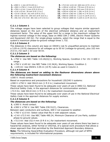**1.** ≤300 V: 1 mm (0 ft 0.03 in.) **2.** >300 V ≤750 V: 2 mm (0 ft 0.07 in.) **3.** >750 V ≤2 kV: 5 mm (0 ft 0.19 in.) **4.** >2 kV ≤15 kV: 39 mm (0 ft 1.5 in.) **5.** >15 kV ≤36 kV: 161 mm (0 ft 6.3 in.) **6.** >36 kV ≤48.3 kV: 254 mm (0 ft 10.0 in.) **7.** >48.3 kV ≤72.5 kV: 381 mm (1 ft 3.0 in.)

**8.** >72.5 kV ≤121 kV: 640 mm (2 ft 1.2 in.) **9.** >138 kV ≤145 kV: 778 mm (2 ft 6.6 in.) **10.** >161 kV ≤169 kV: 915 mm (3 ft 0.0 in.) **11.** >230 kV ≤242 kV: 1.281 m (4 ft 2.4 in.) **12.** >345 kV ≤362 kV: 2.282 m (7 ft 5.8 in.) **13.** >500 kV ≤550 kV: 3.112 m (10 ft 2.5 in.) **14.** >765 kV ≤800 kV: 4.225 m (13 ft 10.3 in.)

#### **C.2.1.1 Column 1**

The voltage ranges have been selected to group voltages that require similar approach distances based on the sum of the electrical withstand distance and an inadvertent movement factor. The value of the upper limit for a range is the maximum voltage for highest nominal voltage in the range, base on ANSI C84.1-1995, *Electric Power Systems and Equipment (60 Hz)*. For single-phase systems, select the range that is equal to the system's maximum phase-to-ground voltage times 1.732.

#### **C.2.1.2 Column 2**

The distances in this column are base on OSHA's rule fo unqualified persons to maintain a 3.05-m (10 ft) clearance for all voltages up to 50 kV (voltage-to-ground), plus 102 mm (4.0 in.) for each 1 kV over 50 kV.

#### **C.2.1.3 Column 3**

#### *The distances are based on the following:*

- **1.** >750 V: Use NEC Table 110.26(A)(1), Working Spaces, Condition 2 for 151 V-600 V range.
- **2.** >750 V ≤145 kV: Use NEC Table 110.34(A), Working Space, Condition 2.
- **3.** >145 kV: Use OSHA's 3.05-m (10 ft) rules as used in Column 2.

#### **C.2.1.4 Column 4**

#### *The distances are based on adding to the flashover dimensions shown above the following inadvertent movement distance:*

≤300 V: Avoid contact.

Based on experience and precautions for household 120/240 V systems:

≤300 V ≤750 V: Add 304.8 mm (1 ft 0 in.) inadvertent movement.

These values have been found to be adequate over years of use in ANSI C2, *National Electrical Safety Code,* in the approach distances for communication workers.

>72.5 Kv: Add 304.8 mm (1 ft 0 in.) for inadvertent movement.

These values have been found to be adequate over years of use in the *National Electrical Safety Code* in the approach distances for supply workers.

#### **C.2.1.5 Column 5**

#### *The distances are based on the following:*

**1.** ≤300 V: Avoid contact.

**2.** ≤300 V ≤750 V: Use NEC Table 230.51(C), Clearances.

Between open conductors and surfaces, 600 V not exposed to weather.

- **1.** >750 V ≤2.0 kV: Select value that fits in with adjacent values.
- **2.** >2 kV ≤72.5 kV: Use NEC Table 490.24, Minimum Clearance of Live Parts, outdoor phase-to-ground values.

**3.** >72.5 kV: Add 152.4 mm (0 ft 6 in.) for inadvertent movement.

These values have been found to be adequate over years of use where there has been a hazard/risk analysis, either formal or informal, of a special work procedure that allows a closer approach than that permitted by the Restricted Approach Boundary distance.

**Note:** The following Hazard/Risk Evaluation Procedure, although not part of NFPA requirements, is included for informational purposes.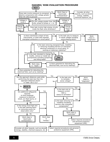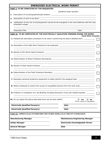|    | <b>ENERGIZED ELECTRICAL WORK PERMIT</b>                                                                  |                                                                                                                       |  |  |  |  |
|----|----------------------------------------------------------------------------------------------------------|-----------------------------------------------------------------------------------------------------------------------|--|--|--|--|
|    | <b>PART I: TO BE COMPLETED BY THE REQUESTER:</b>                                                         |                                                                                                                       |  |  |  |  |
|    |                                                                                                          | Job/Work Order Number:                                                                                                |  |  |  |  |
|    | 1. Description of circuit/equipment/job location: ______________________________                         |                                                                                                                       |  |  |  |  |
| 2. |                                                                                                          |                                                                                                                       |  |  |  |  |
|    | 3. Justification of why the circuit/equipment cannot be de-energized or the work deferred until the next |                                                                                                                       |  |  |  |  |
|    | Requester/Title                                                                                          | Date                                                                                                                  |  |  |  |  |
|    | PART II: TO BE COMPLETED BY THE ELECTRICALLY QUALIFIED PERSONS DOING THE WORK:                           | <b>Check When Complete</b>                                                                                            |  |  |  |  |
|    | 1. Detailed job description procedure to be used in performing the above detailed work: ___________      |                                                                                                                       |  |  |  |  |
|    |                                                                                                          |                                                                                                                       |  |  |  |  |
|    |                                                                                                          |                                                                                                                       |  |  |  |  |
|    |                                                                                                          |                                                                                                                       |  |  |  |  |
|    |                                                                                                          | <u> 1989 - Johann Harry Harry Harry Harry Harry Harry Harry Harry Harry Harry Harry Harry Harry Harry Harry Harry</u> |  |  |  |  |
|    |                                                                                                          |                                                                                                                       |  |  |  |  |
|    | 7. Necessary personal protective equipment to safely perform the assigned task: ___________________      |                                                                                                                       |  |  |  |  |
|    | 8. Means employed to restrict the access of unqualified persons from the work area: _______              |                                                                                                                       |  |  |  |  |
|    | 9. Evidence of completion of a Job Briefing including discussion of any job-related hazards:             |                                                                                                                       |  |  |  |  |
|    | 10. Do you agree the above described work can be done safely?                                            | Yes<br>No<br>(If no, return to requester)                                                                             |  |  |  |  |
|    | <b>Electrically Qualified Person(s)</b>                                                                  | <b>Date</b>                                                                                                           |  |  |  |  |
|    | <b>Electrically Qualified Person(s)</b>                                                                  | <b>Date</b>                                                                                                           |  |  |  |  |
|    | <b>PART III: APPROVAL(S) TO PERFORM THE WORK WHILE ELECTRICITY ENERGIZED:</b>                            |                                                                                                                       |  |  |  |  |
|    | <b>Manufacturing Manager</b>                                                                             | <b>Maintenance/Engineering Manager</b>                                                                                |  |  |  |  |
|    | <b>Safety Manager</b>                                                                                    | <b>Electrically Knowledgeable Person</b>                                                                              |  |  |  |  |
|    | <b>General Manager</b>                                                                                   | <b>Date</b>                                                                                                           |  |  |  |  |